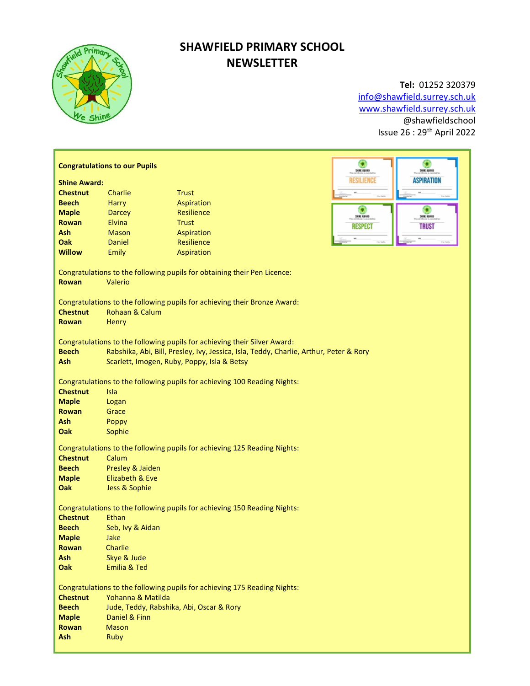

# SHAWFIELD PRIMARY SCHOOL NEWSLETTER

## Tel: 01252 320379

info@shawfield.surrey.sch.uk www.shawfield.surrey.sch.uk @shawfieldschool Issue 26 : 29th April 2022

|                                                                                                     | <b>Congratulations to our Pupils</b>                                                   | G<br>SHIE EBARD                                                           | ٥<br>SHIE EBAND     |                   |  |  |  |
|-----------------------------------------------------------------------------------------------------|----------------------------------------------------------------------------------------|---------------------------------------------------------------------------|---------------------|-------------------|--|--|--|
| <b>Shine Award:</b>                                                                                 |                                                                                        |                                                                           | <b>RESILIENCE</b>   | <b>ASPIRATION</b> |  |  |  |
| <b>Chestnut</b>                                                                                     | Charlie                                                                                | <b>Trust</b>                                                              |                     |                   |  |  |  |
| <b>Beech</b>                                                                                        | <b>Harry</b>                                                                           | Aspiration                                                                |                     |                   |  |  |  |
| <b>Maple</b>                                                                                        | <b>Darcey</b>                                                                          | <b>Resilience</b>                                                         | Ω                   | о                 |  |  |  |
| Rowan                                                                                               | Elvina                                                                                 | <b>Trust</b>                                                              | <b>SHINE AIRRAN</b> | <b>SHIK 42483</b> |  |  |  |
| Ash                                                                                                 | <b>Mason</b>                                                                           | Aspiration                                                                | <b>RESPECT</b>      | <b>TRUST</b>      |  |  |  |
| Oak                                                                                                 | Daniel                                                                                 | Resilience                                                                |                     |                   |  |  |  |
| <b>Willow</b>                                                                                       | Emily                                                                                  | Aspiration                                                                |                     |                   |  |  |  |
|                                                                                                     |                                                                                        |                                                                           |                     |                   |  |  |  |
| Congratulations to the following pupils for obtaining their Pen Licence:<br><b>Rowan</b><br>Valerio |                                                                                        |                                                                           |                     |                   |  |  |  |
| Congratulations to the following pupils for achieving their Bronze Award:                           |                                                                                        |                                                                           |                     |                   |  |  |  |
| <b>Chestnut</b>                                                                                     | Rohaan & Calum                                                                         |                                                                           |                     |                   |  |  |  |
| <b>Rowan</b>                                                                                        | Henry                                                                                  |                                                                           |                     |                   |  |  |  |
|                                                                                                     |                                                                                        |                                                                           |                     |                   |  |  |  |
|                                                                                                     |                                                                                        | Congratulations to the following pupils for achieving their Silver Award: |                     |                   |  |  |  |
| <b>Beech</b>                                                                                        | Rabshika, Abi, Bill, Presley, Ivy, Jessica, Isla, Teddy, Charlie, Arthur, Peter & Rory |                                                                           |                     |                   |  |  |  |
| Ash                                                                                                 | Scarlett, Imogen, Ruby, Poppy, Isla & Betsy                                            |                                                                           |                     |                   |  |  |  |
|                                                                                                     |                                                                                        |                                                                           |                     |                   |  |  |  |
| Congratulations to the following pupils for achieving 100 Reading Nights:                           |                                                                                        |                                                                           |                     |                   |  |  |  |
| <b>Chestnut</b>                                                                                     | Isla                                                                                   |                                                                           |                     |                   |  |  |  |
| <b>Maple</b>                                                                                        | Logan                                                                                  |                                                                           |                     |                   |  |  |  |
| <b>Rowan</b>                                                                                        | Grace                                                                                  |                                                                           |                     |                   |  |  |  |
| Ash                                                                                                 | Poppy                                                                                  |                                                                           |                     |                   |  |  |  |
| Oak                                                                                                 | Sophie                                                                                 |                                                                           |                     |                   |  |  |  |
|                                                                                                     |                                                                                        |                                                                           |                     |                   |  |  |  |
|                                                                                                     |                                                                                        | Congratulations to the following pupils for achieving 125 Reading Nights: |                     |                   |  |  |  |
| <b>Chestnut</b>                                                                                     | Calum                                                                                  |                                                                           |                     |                   |  |  |  |
| <b>Beech</b>                                                                                        | Presley & Jaiden                                                                       |                                                                           |                     |                   |  |  |  |
| <b>Maple</b>                                                                                        | Elizabeth & Eve                                                                        |                                                                           |                     |                   |  |  |  |
| Oak                                                                                                 | Jess & Sophie                                                                          |                                                                           |                     |                   |  |  |  |
|                                                                                                     |                                                                                        |                                                                           |                     |                   |  |  |  |
|                                                                                                     |                                                                                        | Congratulations to the following pupils for achieving 150 Reading Nights: |                     |                   |  |  |  |
| <b>Chestnut</b>                                                                                     | Ethan                                                                                  |                                                                           |                     |                   |  |  |  |
| <b>Beech</b>                                                                                        | Seb, Ivy & Aidan                                                                       |                                                                           |                     |                   |  |  |  |
| <b>Maple</b>                                                                                        | Jake                                                                                   |                                                                           |                     |                   |  |  |  |
| <b>Rowan</b>                                                                                        | Charlie                                                                                |                                                                           |                     |                   |  |  |  |
| Ash                                                                                                 | Skye & Jude                                                                            |                                                                           |                     |                   |  |  |  |
| Oak                                                                                                 | <b>Emilia &amp; Ted</b>                                                                |                                                                           |                     |                   |  |  |  |
|                                                                                                     |                                                                                        |                                                                           |                     |                   |  |  |  |
|                                                                                                     | Congratulations to the following pupils for achieving 175 Reading Nights:              |                                                                           |                     |                   |  |  |  |
| <b>Chestnut</b>                                                                                     | Yohanna & Matilda                                                                      |                                                                           |                     |                   |  |  |  |
| <b>Beech</b>                                                                                        | Jude, Teddy, Rabshika, Abi, Oscar & Rory                                               |                                                                           |                     |                   |  |  |  |
| <b>Maple</b>                                                                                        | Daniel & Finn                                                                          |                                                                           |                     |                   |  |  |  |
| <b>Rowan</b>                                                                                        | <b>Mason</b>                                                                           |                                                                           |                     |                   |  |  |  |
| Ash                                                                                                 | Ruby                                                                                   |                                                                           |                     |                   |  |  |  |
|                                                                                                     |                                                                                        |                                                                           |                     |                   |  |  |  |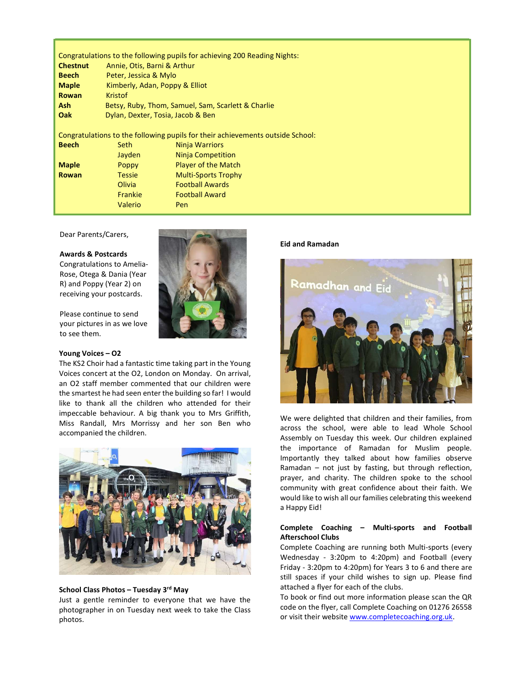Congratulations to the following pupils for achieving 200 Reading Nights: Chestnut Annie, Otis, Barni & Arthur Beech Peter, Jessica & Mylo Maple Kimberly, Adan, Poppy & Elliot Rowan Kristof Ash Betsy, Ruby, Thom, Samuel, Sam, Scarlett & Charlie Oak Dylan, Dexter, Tosia, Jacob & Ben

Congratulations to the following pupils for their achievements outside School: **Beech** Seth Ninja Warriors Jayden Ninja Competition **Maple** Poppy Player of the Match Rowan Tessie Multi-Sports Trophy Olivia Football Awards Frankie Football Award Valerio Pen

Dear Parents/Carers,

#### Awards & Postcards

Congratulations to Amelia-Rose, Otega & Dania (Year R) and Poppy (Year 2) on receiving your postcards.

Please continue to send your pictures in as we love to see them.

#### Young Voices – O2

The KS2 Choir had a fantastic time taking part in the Young Voices concert at the O2, London on Monday. On arrival, an O2 staff member commented that our children were the smartest he had seen enter the building so far! I would like to thank all the children who attended for their impeccable behaviour. A big thank you to Mrs Griffith, Miss Randall, Mrs Morrissy and her son Ben who accompanied the children.



#### School Class Photos - Tuesday 3rd May

Just a gentle reminder to everyone that we have the photographer in on Tuesday next week to take the Class photos.

#### Eid and Ramadan



We were delighted that children and their families, from across the school, were able to lead Whole School Assembly on Tuesday this week. Our children explained the importance of Ramadan for Muslim people. Importantly they talked about how families observe Ramadan – not just by fasting, but through reflection, prayer, and charity. The children spoke to the school community with great confidence about their faith. We would like to wish all our families celebrating this weekend a Happy Eid!

#### Complete Coaching – Multi-sports and Football Afterschool Clubs

Complete Coaching are running both Multi-sports (every Wednesday - 3:20pm to 4:20pm) and Football (every Friday - 3:20pm to 4:20pm) for Years 3 to 6 and there are still spaces if your child wishes to sign up. Please find attached a flyer for each of the clubs.

To book or find out more information please scan the QR code on the flyer, call Complete Coaching on 01276 26558 or visit their website www.completecoaching.org.uk.

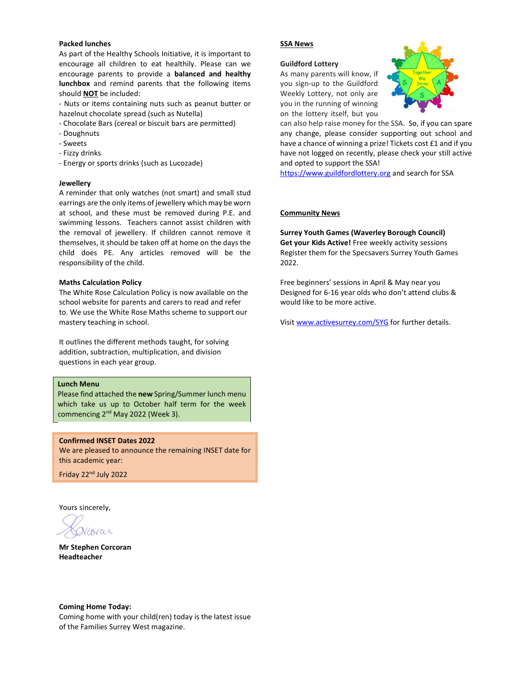#### Packed lunches

As part of the Healthy Schools Initiative, it is important to encourage all children to eat healthily. Please can we encourage parents to provide a balanced and healthy lunchbox and remind parents that the following items should NOT be included:

- Nuts or items containing nuts such as peanut butter or hazelnut chocolate spread (such as Nutella)

- Chocolate Bars (cereal or biscuit bars are permitted)
- Doughnuts
- Sweets
- Fizzy drinks
- Energy or sports drinks (such as Lucozade)

#### Jewellery

A reminder that only watches (not smart) and small stud earrings are the only items of jewellery which may be worn at school, and these must be removed during P.E. and swimming lessons. Teachers cannot assist children with the removal of jewellery. If children cannot remove it themselves, it should be taken off at home on the days the child does PE. Any articles removed will be the responsibility of the child.

#### Maths Calculation Policy

The White Rose Calculation Policy is now available on the school website for parents and carers to read and refer to. We use the White Rose Maths scheme to support our mastery teaching in school.

It outlines the different methods taught, for solving addition, subtraction, multiplication, and division questions in each year group.

#### Lunch Menu

Please find attached the new Spring/Summer lunch menu which take us up to October half term for the week commencing 2<sup>nd</sup> May 2022 (Week 3).

#### Confirmed INSET Dates 2022

We are pleased to announce the remaining INSET date for this academic year:

Friday 22nd July 2022

Yours sincerely,

Mr Stephen Corcoran Headteacher

#### SSA News

#### Guildford Lottery

As many parents will know, if you sign-up to the Guildford Weekly Lottery, not only are you in the running of winning on the lottery itself, but you



can also help raise money for the SSA. So, if you can spare any change, please consider supporting out school and have a chance of winning a prize! Tickets cost £1 and if you have not logged on recently, please check your still active and opted to support the SSA!

https://www.guildfordlottery.org and search for SSA

#### Community News

Surrey Youth Games (Waverley Borough Council) Get your Kids Active! Free weekly activity sessions Register them for the Specsavers Surrey Youth Games 2022.

Free beginners' sessions in April & May near you Designed for 6-16 year olds who don't attend clubs & would like to be more active.

Visit www.activesurrey.com/SYG for further details.

Coming Home Today: Coming home with your child(ren) today is the latest issue of the Families Surrey West magazine.